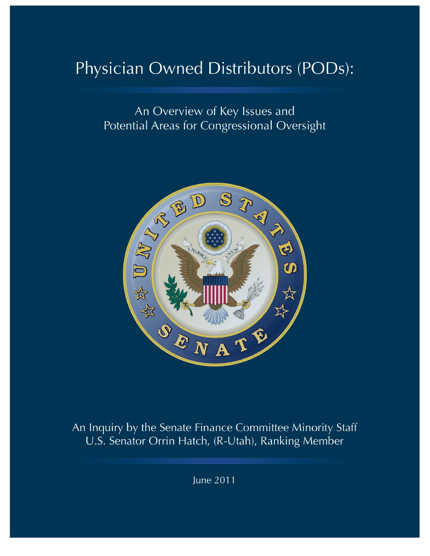# Physician Owned Distributors (PODs):

An Overview of Key Issues and **Potential Areas for Congressional Oversight** 



An Inquiry by the Senate Finance Committee Minority Staff U.S. Senator Orrin Hatch, (R-Utah), Ranking Member

June 2011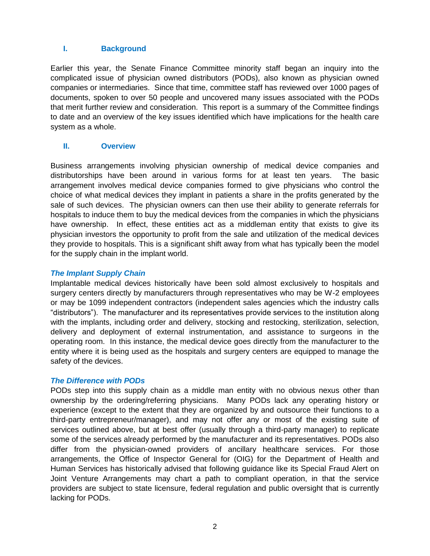## **I. Background**

Earlier this year, the Senate Finance Committee minority staff began an inquiry into the complicated issue of physician owned distributors (PODs), also known as physician owned companies or intermediaries. Since that time, committee staff has reviewed over 1000 pages of documents, spoken to over 50 people and uncovered many issues associated with the PODs that merit further review and consideration. This report is a summary of the Committee findings to date and an overview of the key issues identified which have implications for the health care system as a whole.

## **II. Overview**

Business arrangements involving physician ownership of medical device companies and distributorships have been around in various forms for at least ten years. The basic arrangement involves medical device companies formed to give physicians who control the choice of what medical devices they implant in patients a share in the profits generated by the sale of such devices. The physician owners can then use their ability to generate referrals for hospitals to induce them to buy the medical devices from the companies in which the physicians have ownership. In effect, these entities act as a middleman entity that exists to give its physician investors the opportunity to profit from the sale and utilization of the medical devices they provide to hospitals. This is a significant shift away from what has typically been the model for the supply chain in the implant world.

#### *The Implant Supply Chain*

Implantable medical devices historically have been sold almost exclusively to hospitals and surgery centers directly by manufacturers through representatives who may be W-2 employees or may be 1099 independent contractors (independent sales agencies which the industry calls "distributors"). The manufacturer and its representatives provide services to the institution along with the implants, including order and delivery, stocking and restocking, sterilization, selection, delivery and deployment of external instrumentation, and assistance to surgeons in the operating room. In this instance, the medical device goes directly from the manufacturer to the entity where it is being used as the hospitals and surgery centers are equipped to manage the safety of the devices.

#### *The Difference with PODs*

PODs step into this supply chain as a middle man entity with no obvious nexus other than ownership by the ordering/referring physicians. Many PODs lack any operating history or experience (except to the extent that they are organized by and outsource their functions to a third-party entrepreneur/manager), and may not offer any or most of the existing suite of services outlined above, but at best offer (usually through a third-party manager) to replicate some of the services already performed by the manufacturer and its representatives. PODs also differ from the physician-owned providers of ancillary healthcare services. For those arrangements, the Office of Inspector General for (OIG) for the Department of Health and Human Services has historically advised that following guidance like its Special Fraud Alert on Joint Venture Arrangements may chart a path to compliant operation, in that the service providers are subject to state licensure, federal regulation and public oversight that is currently lacking for PODs.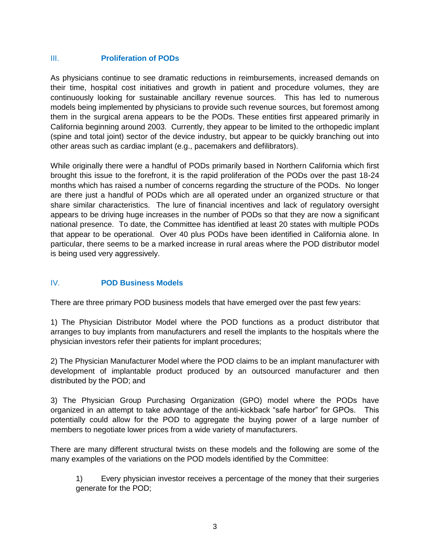# III. **Proliferation of PODs**

As physicians continue to see dramatic reductions in reimbursements, increased demands on their time, hospital cost initiatives and growth in patient and procedure volumes, they are continuously looking for sustainable ancillary revenue sources. This has led to numerous models being implemented by physicians to provide such revenue sources, but foremost among them in the surgical arena appears to be the PODs. These entities first appeared primarily in California beginning around 2003. Currently, they appear to be limited to the orthopedic implant (spine and total joint) sector of the device industry, but appear to be quickly branching out into other areas such as cardiac implant (e.g., pacemakers and defilibrators).

While originally there were a handful of PODs primarily based in Northern California which first brought this issue to the forefront, it is the rapid proliferation of the PODs over the past 18-24 months which has raised a number of concerns regarding the structure of the PODs. No longer are there just a handful of PODs which are all operated under an organized structure or that share similar characteristics. The lure of financial incentives and lack of regulatory oversight appears to be driving huge increases in the number of PODs so that they are now a significant national presence. To date, the Committee has identified at least 20 states with multiple PODs that appear to be operational. Over 40 plus PODs have been identified in California alone. In particular, there seems to be a marked increase in rural areas where the POD distributor model is being used very aggressively.

# IV. **POD Business Models**

There are three primary POD business models that have emerged over the past few years:

1) The Physician Distributor Model where the POD functions as a product distributor that arranges to buy implants from manufacturers and resell the implants to the hospitals where the physician investors refer their patients for implant procedures;

2) The Physician Manufacturer Model where the POD claims to be an implant manufacturer with development of implantable product produced by an outsourced manufacturer and then distributed by the POD; and

3) The Physician Group Purchasing Organization (GPO) model where the PODs have organized in an attempt to take advantage of the anti-kickback "safe harbor" for GPOs. This potentially could allow for the POD to aggregate the buying power of a large number of members to negotiate lower prices from a wide variety of manufacturers.

There are many different structural twists on these models and the following are some of the many examples of the variations on the POD models identified by the Committee:

1) Every physician investor receives a percentage of the money that their surgeries generate for the POD;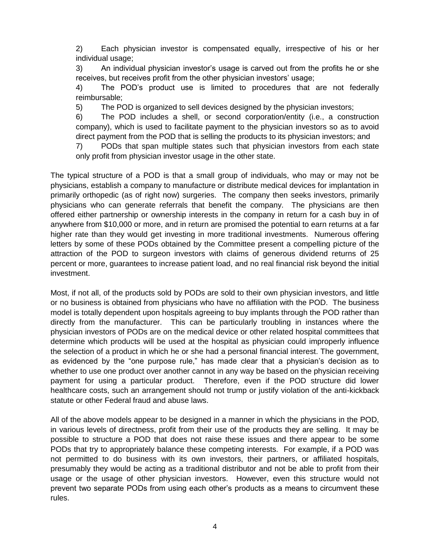2) Each physician investor is compensated equally, irrespective of his or her individual usage;

3) An individual physician investor's usage is carved out from the profits he or she receives, but receives profit from the other physician investors' usage;

4) The POD's product use is limited to procedures that are not federally reimbursable;

5) The POD is organized to sell devices designed by the physician investors;

6) The POD includes a shell, or second corporation/entity (i.e., a construction company), which is used to facilitate payment to the physician investors so as to avoid direct payment from the POD that is selling the products to its physician investors; and

7) PODs that span multiple states such that physician investors from each state only profit from physician investor usage in the other state.

The typical structure of a POD is that a small group of individuals, who may or may not be physicians, establish a company to manufacture or distribute medical devices for implantation in primarily orthopedic (as of right now) surgeries. The company then seeks investors, primarily physicians who can generate referrals that benefit the company. The physicians are then offered either partnership or ownership interests in the company in return for a cash buy in of anywhere from \$10,000 or more, and in return are promised the potential to earn returns at a far higher rate than they would get investing in more traditional investments. Numerous offering letters by some of these PODs obtained by the Committee present a compelling picture of the attraction of the POD to surgeon investors with claims of generous dividend returns of 25 percent or more, guarantees to increase patient load, and no real financial risk beyond the initial investment.

Most, if not all, of the products sold by PODs are sold to their own physician investors, and little or no business is obtained from physicians who have no affiliation with the POD. The business model is totally dependent upon hospitals agreeing to buy implants through the POD rather than directly from the manufacturer. This can be particularly troubling in instances where the physician investors of PODs are on the medical device or other related hospital committees that determine which products will be used at the hospital as physician could improperly influence the selection of a product in which he or she had a personal financial interest. The government, as evidenced by the "one purpose rule," has made clear that a physician's decision as to whether to use one product over another cannot in any way be based on the physician receiving payment for using a particular product. Therefore, even if the POD structure did lower healthcare costs, such an arrangement should not trump or justify violation of the anti-kickback statute or other Federal fraud and abuse laws.

All of the above models appear to be designed in a manner in which the physicians in the POD, in various levels of directness, profit from their use of the products they are selling. It may be possible to structure a POD that does not raise these issues and there appear to be some PODs that try to appropriately balance these competing interests. For example, if a POD was not permitted to do business with its own investors, their partners, or affiliated hospitals, presumably they would be acting as a traditional distributor and not be able to profit from their usage or the usage of other physician investors. However, even this structure would not prevent two separate PODs from using each other's products as a means to circumvent these rules.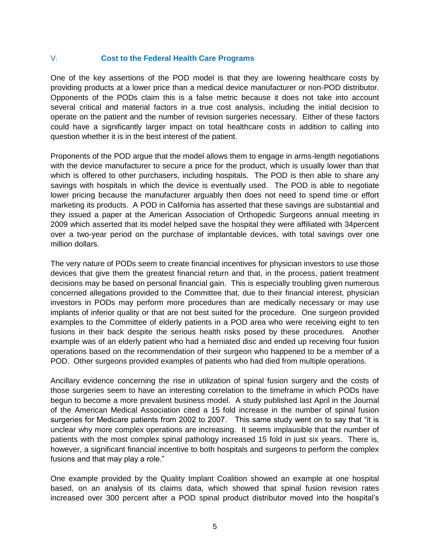## V. **Cost to the Federal Health Care Programs**

One of the key assertions of the POD model is that they are lowering healthcare costs by providing products at a lower price than a medical device manufacturer or non-POD distributor. Opponents of the PODs claim this is a false metric because it does not take into account several critical and material factors in a true cost analysis, including the initial decision to operate on the patient and the number of revision surgeries necessary. Either of these factors could have a significantly larger impact on total healthcare costs in addition to calling into question whether it is in the best interest of the patient.

Proponents of the POD argue that the model allows them to engage in arms-length negotiations with the device manufacturer to secure a price for the product, which is usually lower than that which is offered to other purchasers, including hospitals. The POD is then able to share any savings with hospitals in which the device is eventually used. The POD is able to negotiate lower pricing because the manufacturer arguably then does not need to spend time or effort marketing its products. A POD in California has asserted that these savings are substantial and they issued a paper at the American Association of Orthopedic Surgeons annual meeting in 2009 which asserted that its model helped save the hospital they were affiliated with 34percent over a two-year period on the purchase of implantable devices, with total savings over one million dollars.

The very nature of PODs seem to create financial incentives for physician investors to use those devices that give them the greatest financial return and that, in the process, patient treatment decisions may be based on personal financial gain. This is especially troubling given numerous concerned allegations provided to the Committee that, due to their financial interest, physician investors in PODs may perform more procedures than are medically necessary or may use implants of inferior quality or that are not best suited for the procedure. One surgeon provided examples to the Committee of elderly patients in a POD area who were receiving eight to ten fusions in their back despite the serious health risks posed by these procedures. Another example was of an elderly patient who had a herniated disc and ended up receiving four fusion operations based on the recommendation of their surgeon who happened to be a member of a POD. Other surgeons provided examples of patients who had died from multiple operations.

Ancillary evidence concerning the rise in utilization of spinal fusion surgery and the costs of those surgeries seem to have an interesting correlation to the timeframe in which PODs have begun to become a more prevalent business model. A study published last April in the Journal of the American Medical Association cited a 15 fold increase in the number of spinal fusion surgeries for Medicare patients from 2002 to 2007. This same study went on to say that "it is unclear why more complex operations are increasing. It seems implausible that the number of patients with the most complex spinal pathology increased 15 fold in just six years. There is, however, a significant financial incentive to both hospitals and surgeons to perform the complex fusions and that may play a role."

One example provided by the Quality Implant Coalition showed an example at one hospital based, on an analysis of its claims data, which showed that spinal fusion revision rates increased over 300 percent after a POD spinal product distributor moved into the hospital's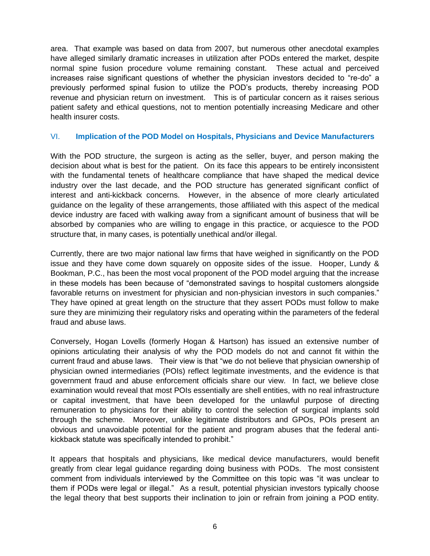area. That example was based on data from 2007, but numerous other anecdotal examples have alleged similarly dramatic increases in utilization after PODs entered the market, despite normal spine fusion procedure volume remaining constant. These actual and perceived increases raise significant questions of whether the physician investors decided to "re-do" a previously performed spinal fusion to utilize the POD's products, thereby increasing POD revenue and physician return on investment. This is of particular concern as it raises serious patient safety and ethical questions, not to mention potentially increasing Medicare and other health insurer costs.

#### VI. **Implication of the POD Model on Hospitals, Physicians and Device Manufacturers**

With the POD structure, the surgeon is acting as the seller, buyer, and person making the decision about what is best for the patient. On its face this appears to be entirely inconsistent with the fundamental tenets of healthcare compliance that have shaped the medical device industry over the last decade, and the POD structure has generated significant conflict of interest and anti-kickback concerns. However, in the absence of more clearly articulated guidance on the legality of these arrangements, those affiliated with this aspect of the medical device industry are faced with walking away from a significant amount of business that will be absorbed by companies who are willing to engage in this practice, or acquiesce to the POD structure that, in many cases, is potentially unethical and/or illegal.

Currently, there are two major national law firms that have weighed in significantly on the POD issue and they have come down squarely on opposite sides of the issue. Hooper, Lundy & Bookman, P.C., has been the most vocal proponent of the POD model arguing that the increase in these models has been because of "demonstrated savings to hospital customers alongside favorable returns on investment for physician and non-physician investors in such companies." They have opined at great length on the structure that they assert PODs must follow to make sure they are minimizing their regulatory risks and operating within the parameters of the federal fraud and abuse laws.

Conversely, Hogan Lovells (formerly Hogan & Hartson) has issued an extensive number of opinions articulating their analysis of why the POD models do not and cannot fit within the current fraud and abuse laws. Their view is that "we do not believe that physician ownership of physician owned intermediaries (POIs) reflect legitimate investments, and the evidence is that government fraud and abuse enforcement officials share our view. In fact, we believe close examination would reveal that most POIs essentially are shell entities, with no real infrastructure or capital investment, that have been developed for the unlawful purpose of directing remuneration to physicians for their ability to control the selection of surgical implants sold through the scheme. Moreover, unlike legitimate distributors and GPOs, POIs present an obvious and unavoidable potential for the patient and program abuses that the federal antikickback statute was specifically intended to prohibit."

It appears that hospitals and physicians, like medical device manufacturers, would benefit greatly from clear legal guidance regarding doing business with PODs. The most consistent comment from individuals interviewed by the Committee on this topic was "it was unclear to them if PODs were legal or illegal." As a result, potential physician investors typically choose the legal theory that best supports their inclination to join or refrain from joining a POD entity.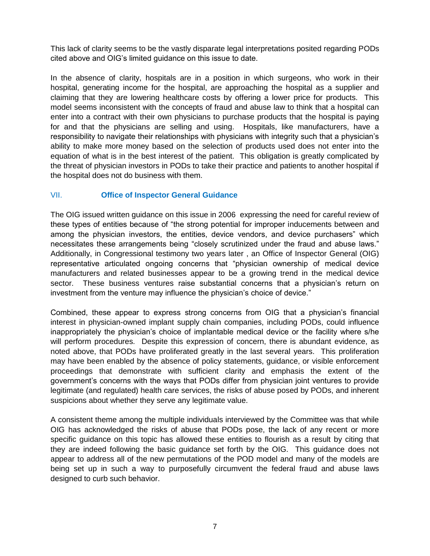This lack of clarity seems to be the vastly disparate legal interpretations posited regarding PODs cited above and OIG's limited guidance on this issue to date.

In the absence of clarity, hospitals are in a position in which surgeons, who work in their hospital, generating income for the hospital, are approaching the hospital as a supplier and claiming that they are lowering healthcare costs by offering a lower price for products. This model seems inconsistent with the concepts of fraud and abuse law to think that a hospital can enter into a contract with their own physicians to purchase products that the hospital is paying for and that the physicians are selling and using. Hospitals, like manufacturers, have a responsibility to navigate their relationships with physicians with integrity such that a physician's ability to make more money based on the selection of products used does not enter into the equation of what is in the best interest of the patient. This obligation is greatly complicated by the threat of physician investors in PODs to take their practice and patients to another hospital if the hospital does not do business with them.

# VII. **Office of Inspector General Guidance**

The OIG issued written guidance on this issue in 2006 expressing the need for careful review of these types of entities because of "the strong potential for improper inducements between and among the physician investors, the entities, device vendors, and device purchasers" which necessitates these arrangements being "closely scrutinized under the fraud and abuse laws." Additionally, in Congressional testimony two years later , an Office of Inspector General (OIG) representative articulated ongoing concerns that "physician ownership of medical device manufacturers and related businesses appear to be a growing trend in the medical device sector. These business ventures raise substantial concerns that a physician's return on investment from the venture may influence the physician's choice of device."

Combined, these appear to express strong concerns from OIG that a physician's financial interest in physician-owned implant supply chain companies, including PODs, could influence inappropriately the physician's choice of implantable medical device or the facility where s/he will perform procedures. Despite this expression of concern, there is abundant evidence, as noted above, that PODs have proliferated greatly in the last several years. This proliferation may have been enabled by the absence of policy statements, guidance, or visible enforcement proceedings that demonstrate with sufficient clarity and emphasis the extent of the government's concerns with the ways that PODs differ from physician joint ventures to provide legitimate (and regulated) health care services, the risks of abuse posed by PODs, and inherent suspicions about whether they serve any legitimate value.

A consistent theme among the multiple individuals interviewed by the Committee was that while OIG has acknowledged the risks of abuse that PODs pose, the lack of any recent or more specific guidance on this topic has allowed these entities to flourish as a result by citing that they are indeed following the basic guidance set forth by the OIG. This guidance does not appear to address all of the new permutations of the POD model and many of the models are being set up in such a way to purposefully circumvent the federal fraud and abuse laws designed to curb such behavior.